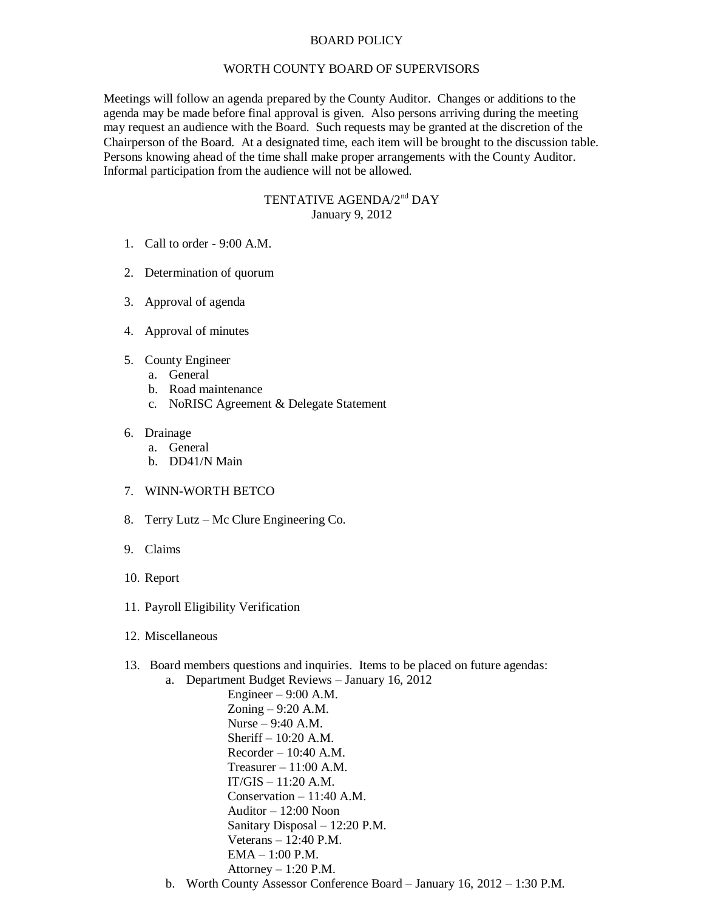## BOARD POLICY

## WORTH COUNTY BOARD OF SUPERVISORS

Meetings will follow an agenda prepared by the County Auditor. Changes or additions to the agenda may be made before final approval is given. Also persons arriving during the meeting may request an audience with the Board. Such requests may be granted at the discretion of the Chairperson of the Board. At a designated time, each item will be brought to the discussion table. Persons knowing ahead of the time shall make proper arrangements with the County Auditor. Informal participation from the audience will not be allowed.

## TENTATIVE AGENDA/2<sup>nd</sup> DAY January 9, 2012

- 1. Call to order 9:00 A.M.
- 2. Determination of quorum
- 3. Approval of agenda
- 4. Approval of minutes
- 5. County Engineer
	- a. General
	- b. Road maintenance
	- c. NoRISC Agreement & Delegate Statement
- 6. Drainage
	- a. General
	- b. DD41/N Main
- 7. WINN-WORTH BETCO
- 8. Terry Lutz Mc Clure Engineering Co.
- 9. Claims
- 10. Report
- 11. Payroll Eligibility Verification
- 12. Miscellaneous
- 13. Board members questions and inquiries. Items to be placed on future agendas:
	- a. Department Budget Reviews January 16, 2012

Engineer – 9:00 A.M. Zoning – 9:20 A.M. Nurse – 9:40 A.M. Sheriff – 10:20 A.M.  $Recorder - 10:40 A.M.$ Treasurer  $-11:00$  A.M. IT/GIS – 11:20 A.M. Conservation – 11:40 A.M. Auditor – 12:00 Noon Sanitary Disposal – 12:20 P.M. Veterans – 12:40 P.M. EMA – 1:00 P.M. Attorney  $-1:20$  P.M.

b. Worth County Assessor Conference Board – January 16, 2012 – 1:30 P.M.